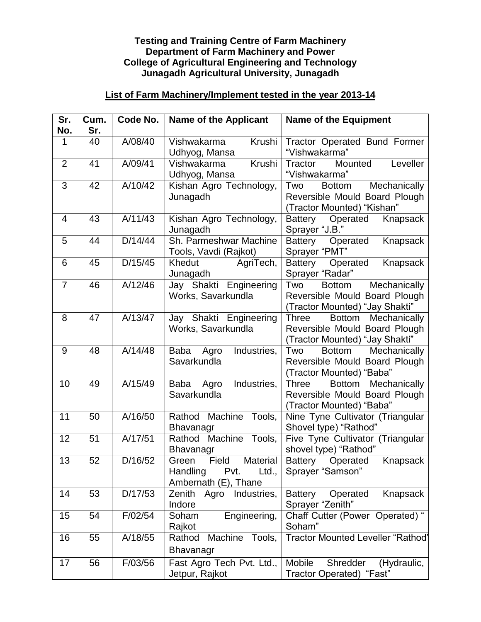## **Testing and Training Centre of Farm Machinery Department of Farm Machinery and Power College of Agricultural Engineering and Technology Junagadh Agricultural University, Junagadh**

## **List of Farm Machinery/Implement tested in the year 2013-14**

| Sr.<br>No.     | Cum.<br>Sr. | Code No. | <b>Name of the Applicant</b>                                                           | <b>Name of the Equipment</b>                                                                            |
|----------------|-------------|----------|----------------------------------------------------------------------------------------|---------------------------------------------------------------------------------------------------------|
| 1              | 40          | A/08/40  | Krushi<br>Vishwakarma                                                                  | Tractor Operated Bund Former<br>"Vishwakarma"                                                           |
| $\overline{2}$ | 41          | A/09/41  | Udhyog, Mansa<br>Krushi<br>Vishwakarma<br>Udhyog, Mansa                                | Mounted Leveller<br>Tractor<br>"Vishwakarma"                                                            |
| 3              | 42          | A/10/42  | Kishan Agro Technology,<br>Junagadh                                                    | Two<br>Bottom Mechanically<br>Reversible Mould Board Plough<br>(Tractor Mounted) "Kishan"               |
| 4              | 43          | A/11/43  | Kishan Agro Technology,<br>Junagadh                                                    | Battery Operated Knapsack<br>Sprayer "J.B."                                                             |
| 5              | 44          | D/14/44  | Sh. Parmeshwar Machine<br>Tools, Vavdi (Rajkot)                                        | Operated<br>Knapsack<br><b>Battery</b><br>Sprayer "PMT"                                                 |
| 6              | 45          | D/15/45  | Khedut AgriTech,<br>Junagadh                                                           | <b>Battery</b><br>Knapsack<br>Operated<br>Sprayer "Radar"                                               |
| $\overline{7}$ | 46          | A/12/46  | Jay Shakti Engineering<br>Works, Savarkundla                                           | Two<br>Mechanically<br><b>Bottom</b><br>Reversible Mould Board Plough<br>(Tractor Mounted) "Jay Shakti" |
| 8              | 47          | A/13/47  | Jay Shakti Engineering<br>Works, Savarkundla                                           | Bottom Mechanically<br><b>Three</b><br>Reversible Mould Board Plough<br>(Tractor Mounted) "Jay Shakti"  |
| 9              | 48          | A/14/48  | Industries,<br>Baba Agro<br>Savarkundla                                                | Two<br><b>Bottom</b><br>Mechanically<br>Reversible Mould Board Plough<br>(Tractor Mounted) "Baba"       |
| 10             | 49          | A/15/49  | Industries,<br>Baba Agro<br>Savarkundla                                                | <b>Three</b><br>Bottom Mechanically<br>Reversible Mould Board Plough<br>(Tractor Mounted) "Baba"        |
| 11             | 50          | A/16/50  | Rathod Machine Tools,<br>Bhavanagr                                                     | Nine Tyne Cultivator (Triangular<br>Shovel type) "Rathod"                                               |
| 12             | 51          | A/17/51  | Machine Tools,<br>Rathod<br>Bhavanagr                                                  | Five Tyne Cultivator (Triangular<br>shovel type) "Rathod"                                               |
| 13             | 52          | D/16/52  | Field<br><b>Material</b><br>Green<br>Handling<br>Pvt.<br>Ltd.,<br>Ambernath (E), Thane | <b>Battery</b><br>Operated<br>Knapsack<br>Sprayer "Samson"                                              |
| 14             | 53          | D/17/53  | Zenith<br>Agro<br>Industries,<br>Indore                                                | <b>Battery</b><br>Operated<br>Knapsack<br>Sprayer "Zenith"                                              |
| 15             | 54          | F/02/54  | Engineering,<br>Soham<br>Rajkot                                                        | Chaff Cutter (Power Operated) "<br>Soham"                                                               |
| 16             | 55          | A/18/55  | Machine Tools,<br>Rathod<br>Bhavanagr                                                  | <b>Tractor Mounted Leveller "Rathod"</b>                                                                |
| 17             | 56          | F/03/56  | Fast Agro Tech Pvt. Ltd.,<br>Jetpur, Rajkot                                            | Mobile<br>Shredder<br>(Hydraulic,<br>Tractor Operated) "Fast"                                           |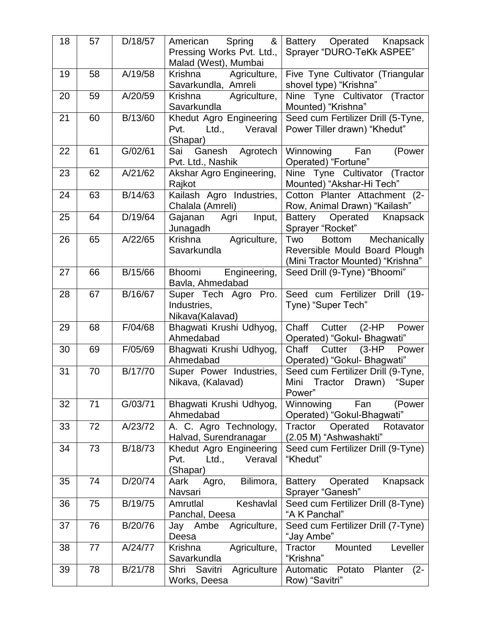| 18 | 57 | D/18/57 | American Spring &<br>Pressing Works Pvt. Ltd.,<br>Malad (West), Mumbai | Battery Operated Knapsack<br>Sprayer "DURO-TeKk ASPEE"                                          |
|----|----|---------|------------------------------------------------------------------------|-------------------------------------------------------------------------------------------------|
| 19 | 58 | A/19/58 | Agriculture,<br>Krishna<br>Savarkundla, Amreli                         | Five Tyne Cultivator (Triangular<br>shovel type) "Krishna"                                      |
| 20 | 59 | A/20/59 | Krishna<br>Agriculture,<br>Savarkundla                                 | Nine Tyne Cultivator (Tractor<br>Mounted) "Krishna"                                             |
| 21 | 60 | B/13/60 | Khedut Agro Engineering<br>Pvt.<br>Ltd.,<br>Veraval<br>(Shapar)        | Seed cum Fertilizer Drill (5-Tyne,<br>Power Tiller drawn) "Khedut"                              |
| 22 | 61 | G/02/61 | Ganesh Agrotech<br>Sai<br>Pvt. Ltd., Nashik                            | Winnowing Fan<br>(Power<br>Operated) "Fortune"                                                  |
| 23 | 62 | A/21/62 | Akshar Agro Engineering,<br>Rajkot                                     | Nine Tyne Cultivator (Tractor<br>Mounted) "Akshar-Hi Tech"                                      |
| 24 | 63 | B/14/63 | Kailash Agro Industries,<br>Chalala (Amreli)                           | Cotton Planter Attachment (2-<br>Row, Animal Drawn) "Kailash"                                   |
| 25 | 64 | D/19/64 | Agri Input,<br>Gajanan<br>Junagadh                                     | Battery Operated Knapsack<br>Sprayer "Rocket"                                                   |
| 26 | 65 | A/22/65 | Krishna Agriculture,<br>Savarkundla                                    | Two<br>Bottom Mechanically<br>Reversible Mould Board Plough<br>(Mini Tractor Mounted) "Krishna" |
| 27 | 66 | B/15/66 | Bhoomi Engineering,<br>Bavla, Ahmedabad                                | Seed Drill (9-Tyne) "Bhoomi"                                                                    |
| 28 | 67 | B/16/67 | Super Tech Agro Pro.<br>Industries,<br>Nikava(Kalavad)                 | Seed cum Fertilizer Drill (19-<br>Tyne) "Super Tech"                                            |
| 29 | 68 | F/04/68 | Bhagwati Krushi Udhyog,<br>Ahmedabad                                   | Chaff<br>$(2-HP)$<br>Cutter<br>Power<br>Operated) "Gokul- Bhagwati"                             |
| 30 | 69 | F/05/69 | Bhagwati Krushi Udhyog,<br>Ahmedabad                                   | Chaff<br>Cutter<br>Power<br>(3-HP<br>Operated) "Gokul- Bhagwati"                                |
| 31 | 70 | B/17/70 | Super Power Industries,<br>Nikava, (Kalavad)                           | Seed cum Fertilizer Drill (9-Tyne,<br>Drawn) "Super<br>Mini<br>Tractor<br>Power"                |
| 32 | 71 | G/03/71 | Bhagwati Krushi Udhyog,<br>Ahmedabad                                   | Winnowing<br>Fan<br>(Power<br>Operated) "Gokul-Bhagwati"                                        |
| 33 | 72 | A/23/72 | A. C. Agro Technology,<br>Halvad, Surendranagar                        | Tractor<br>Operated<br>Rotavator<br>(2.05 M) "Ashwashakti"                                      |
| 34 | 73 | B/18/73 | Khedut Agro Engineering<br>Ltd.,<br>Pvt.<br>Veraval<br>(Shapar)        | Seed cum Fertilizer Drill (9-Tyne)<br>"Khedut"                                                  |
| 35 | 74 | D/20/74 | Bilimora,<br>Agro,<br>Aark<br>Navsari                                  | Knapsack<br><b>Battery</b><br>Operated<br>Sprayer "Ganesh"                                      |
| 36 | 75 | B/19/75 | Keshavlal<br>Amrutlal<br>Panchal, Deesa                                | Seed cum Fertilizer Drill (8-Tyne)<br>"A K Panchal"                                             |
| 37 | 76 | B/20/76 | Agriculture,<br>Jay Ambe<br>Deesa                                      | Seed cum Fertilizer Drill (7-Tyne)<br>"Jay Ambe"                                                |
| 38 | 77 | A/24/77 | Agriculture,<br>Krishna<br>Savarkundla                                 | Mounted<br>Leveller<br>Tractor<br>"Krishna"                                                     |
| 39 | 78 | B/21/78 | Shri Savitri<br>Agriculture<br>Works, Deesa                            | Automatic Potato Planter<br>$(2 -$<br>Row) "Savitri"                                            |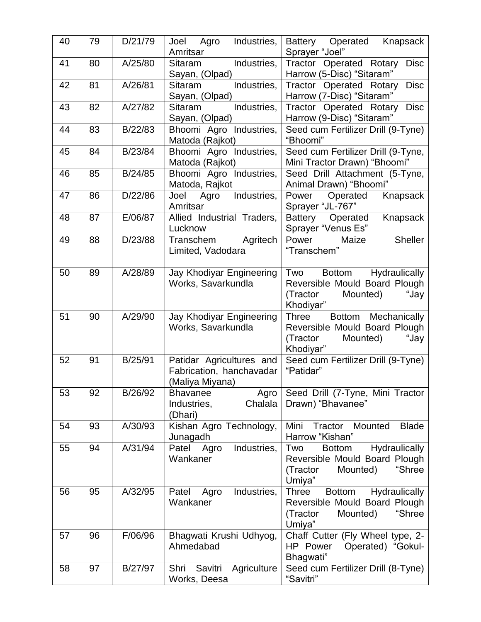| 40 | 79 | D/21/79 | Industries,<br>Joel Agro<br>Amritsar       | Battery Operated Knapsack<br>Sprayer "Joel"                         |
|----|----|---------|--------------------------------------------|---------------------------------------------------------------------|
| 41 | 80 | A/25/80 | Industries,<br>Sitaram                     | <b>Tractor Operated Rotary</b><br><b>Disc</b>                       |
|    |    |         | Sayan, (Olpad)                             | Harrow (5-Disc) "Sitaram"                                           |
| 42 | 81 | A/26/81 | Industries,<br>Sitaram                     | <b>Disc</b><br>Tractor Operated Rotary                              |
|    |    |         | Sayan, (Olpad)                             | Harrow (7-Disc) "Sitaram"                                           |
| 43 | 82 | A/27/82 | Industries,<br>Sitaram<br>Sayan, (Olpad)   | Tractor Operated Rotary<br><b>Disc</b><br>Harrow (9-Disc) "Sitaram" |
| 44 | 83 | B/22/83 | Bhoomi Agro Industries,<br>Matoda (Rajkot) | Seed cum Fertilizer Drill (9-Tyne)<br>"Bhoomi"                      |
| 45 | 84 | B/23/84 | Bhoomi Agro Industries,<br>Matoda (Rajkot) | Seed cum Fertilizer Drill (9-Tyne,<br>Mini Tractor Drawn) "Bhoomi"  |
| 46 | 85 | B/24/85 | Bhoomi Agro Industries,                    | Seed Drill Attachment (5-Tyne,                                      |
|    |    |         | Matoda, Rajkot                             | Animal Drawn) "Bhoomi"                                              |
| 47 | 86 | D/22/86 | Industries,<br>Joel Agro<br>Amritsar       | Knapsack<br>Power<br>Operated<br>Sprayer "JL-767"                   |
| 48 | 87 | E/06/87 | Allied Industrial Traders,                 | Knapsack<br>Battery Operated                                        |
|    |    |         | Lucknow                                    | Sprayer "Venus Es"                                                  |
| 49 | 88 | D/23/88 | Transchem Agritech                         | <b>Sheller</b><br>Power Maize                                       |
|    |    |         | Limited, Vadodara                          | "Transchem"                                                         |
| 50 | 89 | A/28/89 | Jay Khodiyar Engineering                   | Two<br>Bottom Hydraulically                                         |
|    |    |         | Works, Savarkundla                         | Reversible Mould Board Plough                                       |
|    |    |         |                                            | (Tractor<br>"Jay<br>Mounted)                                        |
|    |    |         |                                            | Khodiyar"                                                           |
| 51 | 90 | A/29/90 | Jay Khodiyar Engineering                   | Bottom Mechanically<br>Three                                        |
|    |    |         | Works, Savarkundla                         | Reversible Mould Board Plough                                       |
|    |    |         |                                            | (Tractor<br>"Jay<br>Mounted)                                        |
|    |    |         |                                            | Khodiyar"                                                           |
| 52 | 91 | B/25/91 | Patidar Agricultures and                   | Seed cum Fertilizer Drill (9-Tyne)                                  |
|    |    |         | Fabrication, hanchavadar                   | "Patidar"                                                           |
|    |    |         | (Maliya Miyana)                            |                                                                     |
| 53 | 92 | B/26/92 | <b>Bhavanee</b><br>Agro                    | Seed Drill (7-Tyne, Mini Tractor                                    |
|    |    |         | Chalala<br>Industries,                     | Drawn) "Bhavanee"                                                   |
|    |    |         | (Dhari)                                    |                                                                     |
| 54 | 93 | A/30/93 | Kishan Agro Technology,                    | Mini<br>Tractor<br>Mounted<br><b>Blade</b>                          |
|    |    |         | Junagadh                                   | Harrow "Kishan"                                                     |
| 55 | 94 | A/31/94 | Industries,<br>Patel<br>Agro               | Two<br>Hydraulically<br><b>Bottom</b>                               |
|    |    |         | Wankaner                                   | Reversible Mould Board Plough                                       |
|    |    |         |                                            | "Shree<br>(Tractor<br>Mounted)                                      |
|    |    |         |                                            | Umiya"                                                              |
| 56 | 95 | A/32/95 | Industries,<br>Patel<br>Agro               | <b>Bottom</b><br>Hydraulically<br>Three                             |
|    |    |         | Wankaner                                   | Reversible Mould Board Plough                                       |
|    |    |         |                                            | "Shree<br>(Tractor<br>Mounted)                                      |
|    |    | F/06/96 |                                            | Umiya"                                                              |
| 57 | 96 |         | Bhagwati Krushi Udhyog,<br>Ahmedabad       | Chaff Cutter (Fly Wheel type, 2-<br>Operated) "Gokul-<br>HP Power   |
|    |    |         |                                            | Bhagwati"                                                           |
| 58 | 97 | B/27/97 | Shri<br>Savitri<br>Agriculture             | Seed cum Fertilizer Drill (8-Tyne)                                  |
|    |    |         | Works, Deesa                               | "Savitri"                                                           |
|    |    |         |                                            |                                                                     |